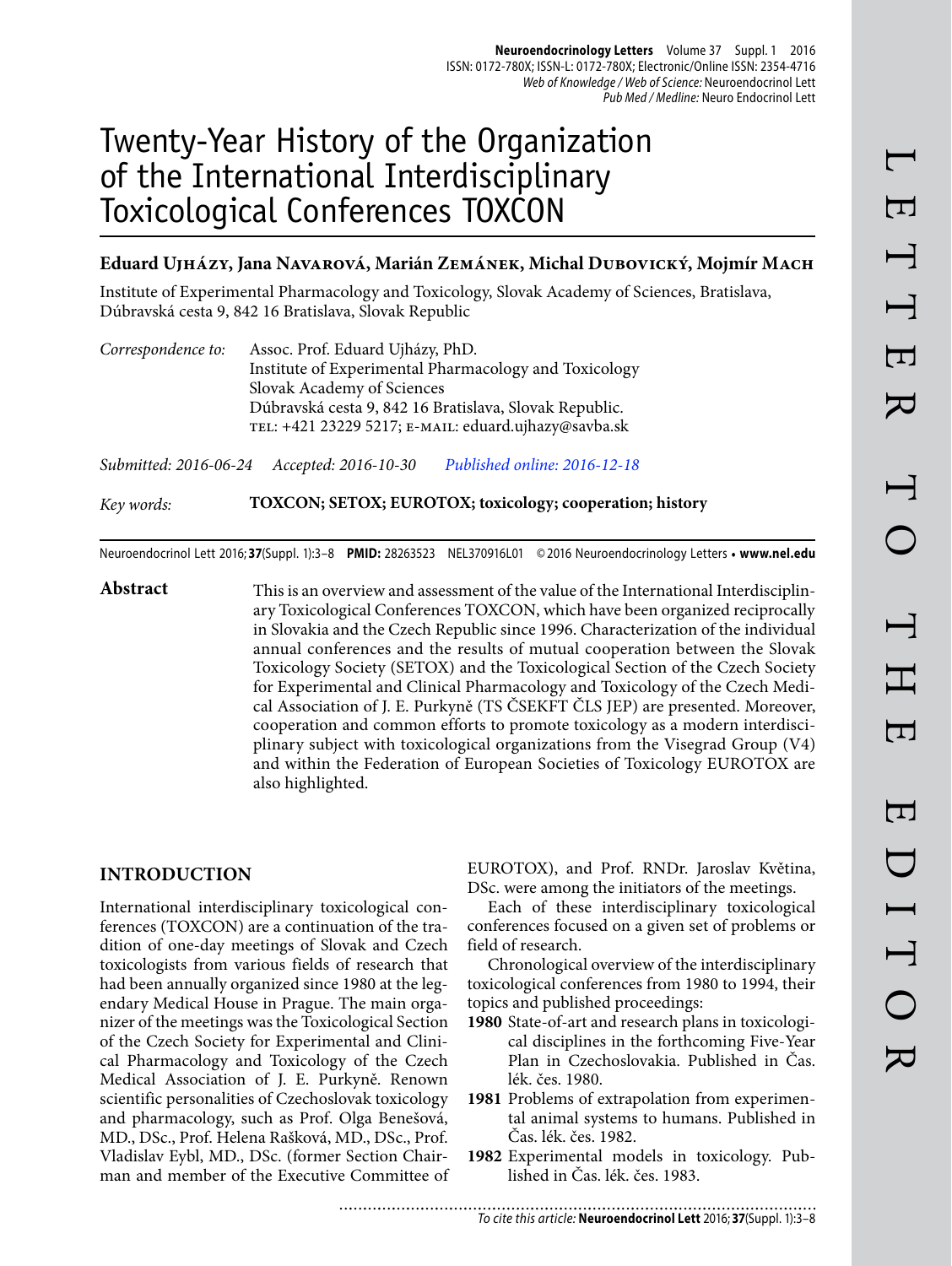# Twenty-Year History of the Organization of the International Interdisciplinary Toxicological Conferences TOXCON

## **Eduard Ujházy, Jana Navarová, Marián Zemánek, Michal Dubovický, Mojmír Mach**

Institute of Experimental Pharmacology and Toxicology, Slovak Academy of Sciences, Bratislava, Dúbravská cesta 9, 842 16 Bratislava, Slovak Republic

| Correspondence to: | Assoc. Prof. Eduard Ujházy, PhD.                       |
|--------------------|--------------------------------------------------------|
|                    | Institute of Experimental Pharmacology and Toxicology  |
|                    | Slovak Academy of Sciences                             |
|                    | Dúbravská cesta 9, 842 16 Bratislava, Slovak Republic. |
|                    | TEL: +421 23229 5217; E-MAIL: eduard.ujhazy@savba.sk   |

*Submitted: 2016-06-24 Accepted: 2016-10-30 Published online: 2016-12-18*

*Key words:* **TOXCON; SETOX; EUROTOX; toxicology; cooperation; history**

Neuroendocrinol Lett 2016; **37**(Suppl. 1):3–8 **PMID:** 28263523 NEL370916L01 ©2016 Neuroendocrinology Letters • **www.nel.edu**

Abstract This is an overview and assessment of the value of the International Interdisciplinary Toxicological Conferences TOXCON, which have been organized reciprocally in Slovakia and the Czech Republic since 1996. Characterization of the individual annual conferences and the results of mutual cooperation between the Slovak Toxicology Society (SETOX) and the Toxicological Section of the Czech Society for Experimental and Clinical Pharmacology and Toxicology of the Czech Medical Association of J. E. Purkyně (TS ČSEKFT ČLS JEP) are presented. Moreover, cooperation and common efforts to promote toxicology as a modern interdisciplinary subject with toxicological organizations from the Visegrad Group (V4) and within the Federation of European Societies of Toxicology EUROTOX are also highlighted.

## **Introduction**

International interdisciplinary toxicological conferences (TOXCON) are a continuation of the tradition of one-day meetings of Slovak and Czech toxicologists from various fields of research that had been annually organized since 1980 at the legendary Medical House in Prague. The main organizer of the meetings was the Toxicological Section of the Czech Society for Experimental and Clinical Pharmacology and Toxicology of the Czech Medical Association of J. E. Purkyně. Renown scientific personalities of Czechoslovak toxicology and pharmacology, such as Prof. Olga Benešová, MD., DSc., Prof. Helena Rašková, MD., DSc., Prof. Vladislav Eybl, MD., DSc. (former Section Chairman and member of the Executive Committee of

EUROTOX), and Prof. RNDr. Jaroslav Květina, DSc. were among the initiators of the meetings.

Each of these interdisciplinary toxicological conferences focused on a given set of problems or field of research.

Chronological overview of the interdisciplinary toxicological conferences from 1980 to 1994, their topics and published proceedings:

- **1980** State-of-art and research plans in toxicological disciplines in the forthcoming Five-Year Plan in Czechoslovakia. Published in Čas. lék. čes. 1980.
- **1981** Problems of extrapolation from experimental animal systems to humans. Published in Čas. lék. čes. 1982.
- **1982** Experimental models in toxicology. Published in Čas. lék. čes. 1983.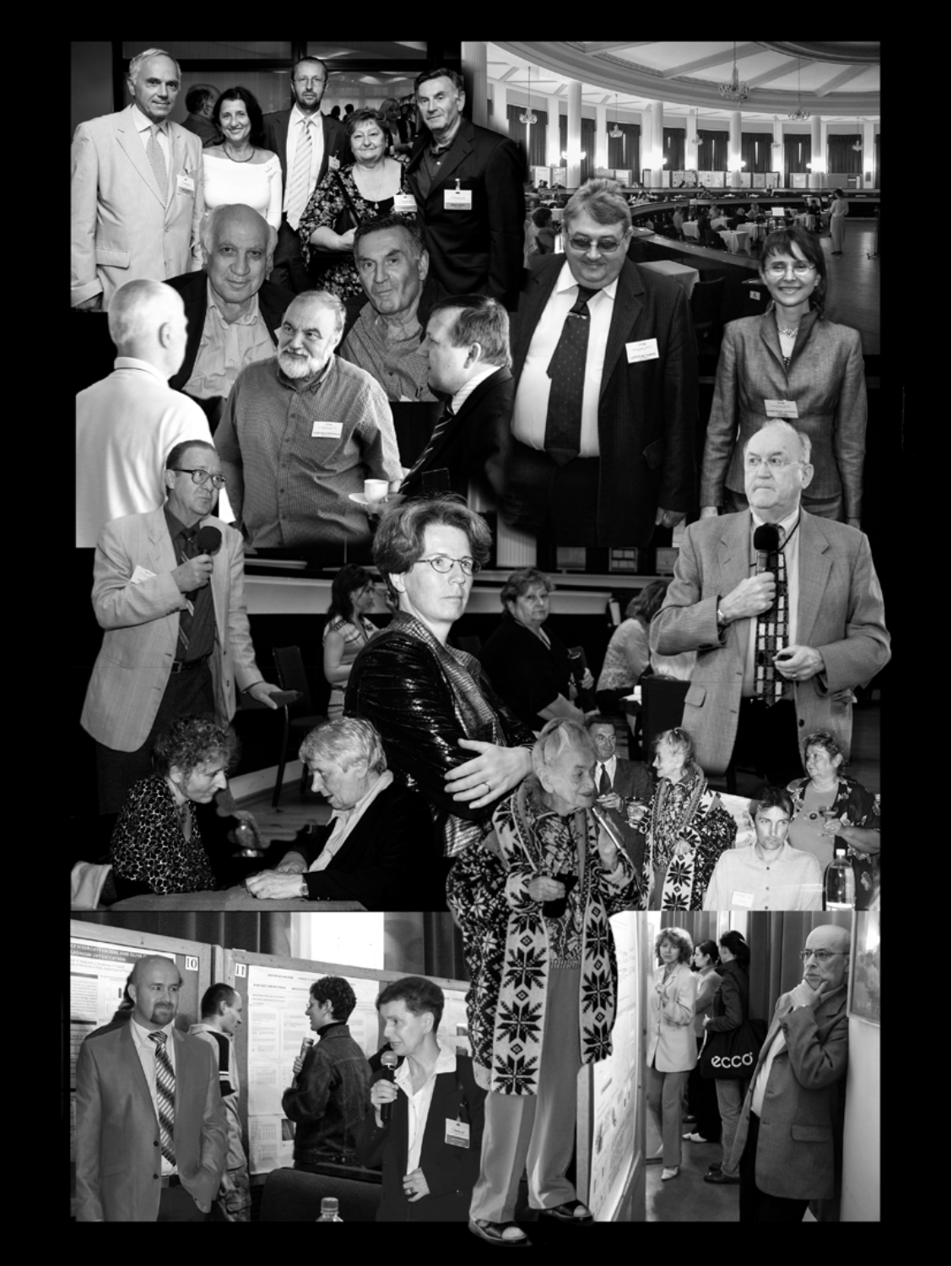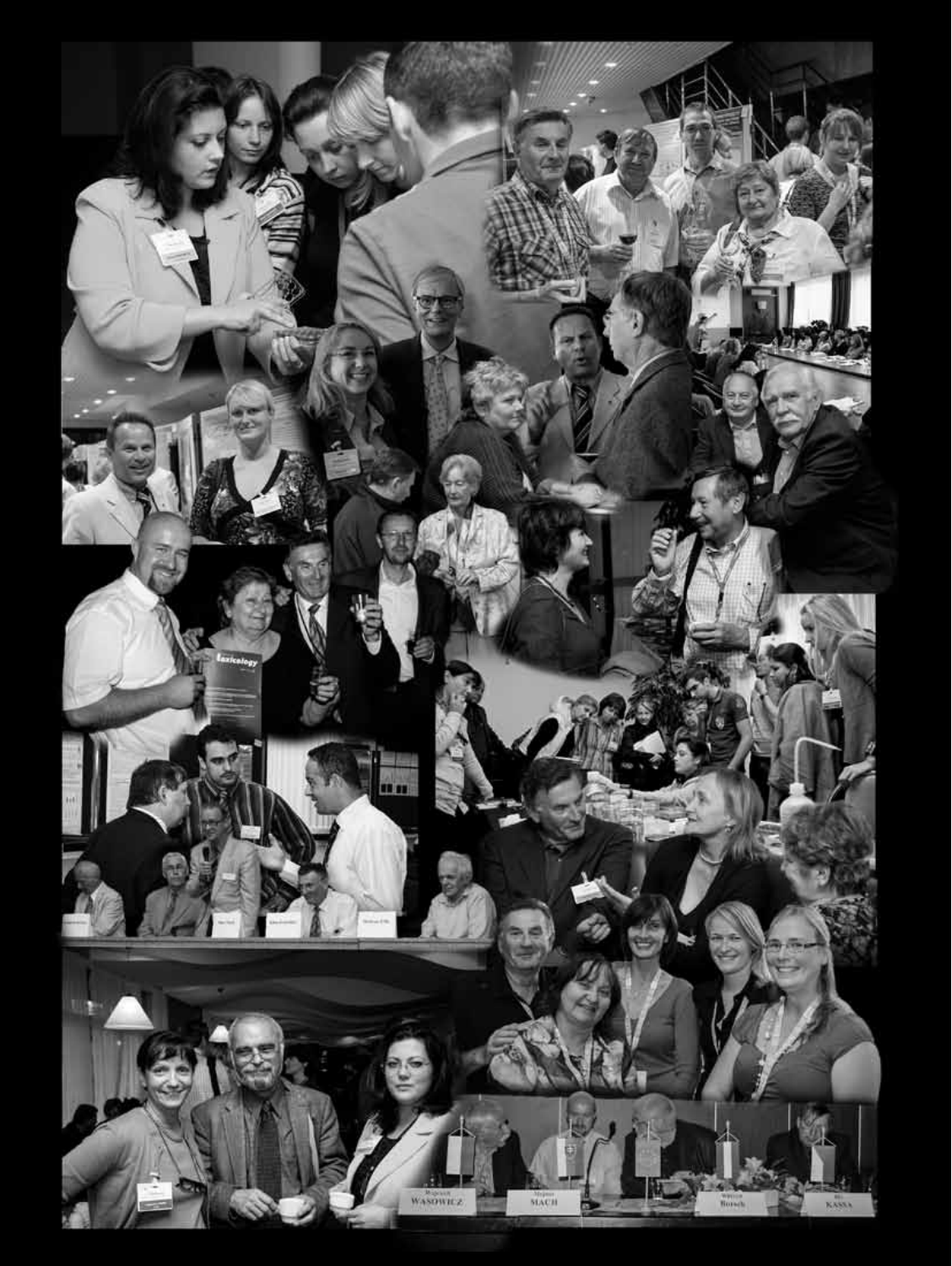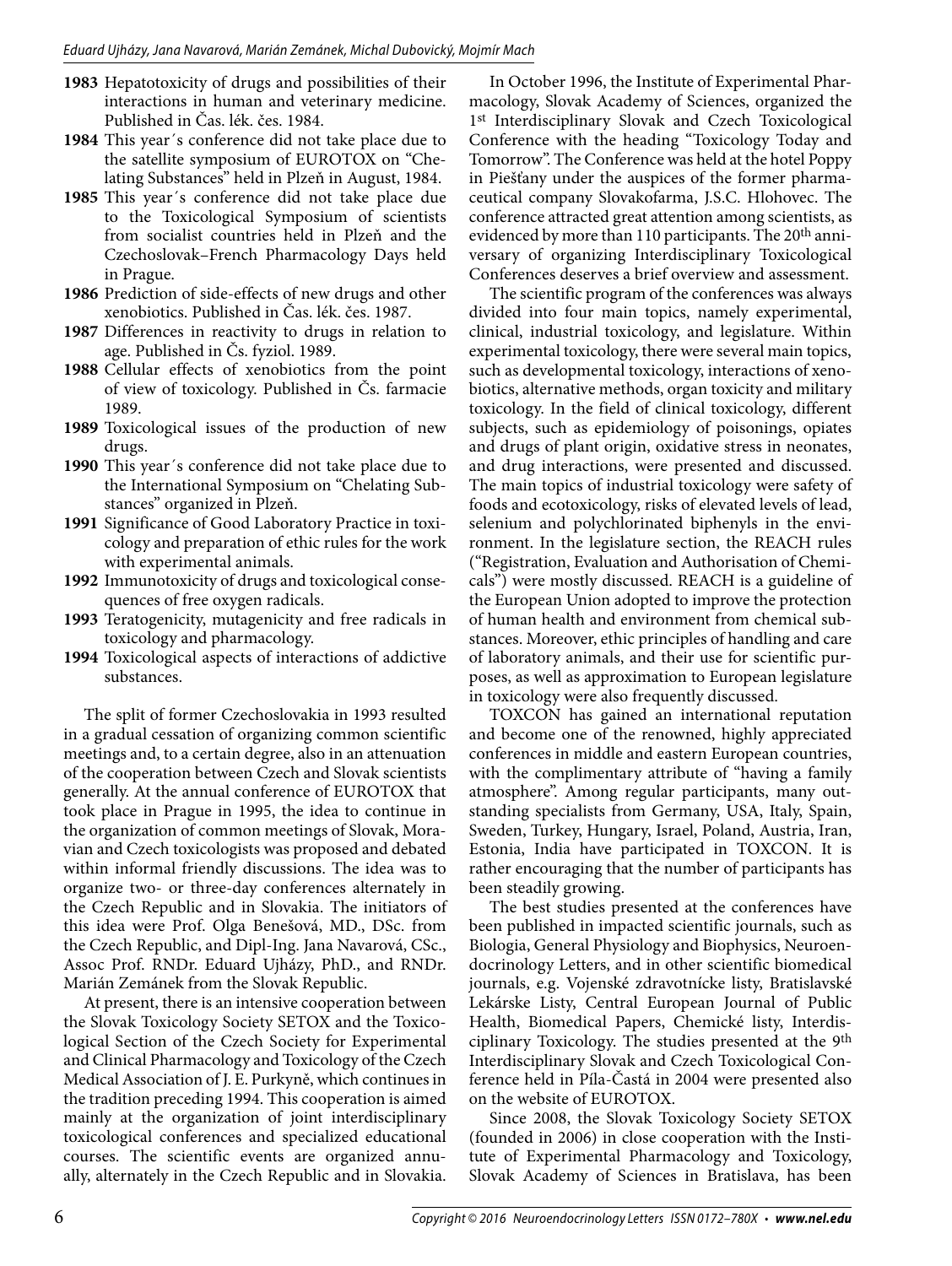- **1983** Hepatotoxicity of drugs and possibilities of their interactions in human and veterinary medicine. Published in Čas. lék. čes. 1984.
- **1984** This year´s conference did not take place due to the satellite symposium of EUROTOX on "Chelating Substances" held in Plzeň in August, 1984.
- **1985** This year´s conference did not take place due to the Toxicological Symposium of scientists from socialist countries held in Plzeň and the Czechoslovak–French Pharmacology Days held in Prague.
- **1986** Prediction of side-effects of new drugs and other xenobiotics. Published in Čas. lék. čes. 1987.
- **1987** Differences in reactivity to drugs in relation to age. Published in Čs. fyziol. 1989.
- **1988** Cellular effects of xenobiotics from the point of view of toxicology. Published in Čs. farmacie 1989.
- **1989** Toxicological issues of the production of new drugs.
- **1990** This year´s conference did not take place due to the International Symposium on "Chelating Substances" organized in Plzeň.
- **1991** Significance of Good Laboratory Practice in toxicology and preparation of ethic rules for the work with experimental animals.
- **1992** Immunotoxicity of drugs and toxicological consequences of free oxygen radicals.
- **1993** Teratogenicity, mutagenicity and free radicals in toxicology and pharmacology.
- **1994** Toxicological aspects of interactions of addictive substances.

The split of former Czechoslovakia in 1993 resulted in a gradual cessation of organizing common scientific meetings and, to a certain degree, also in an attenuation of the cooperation between Czech and Slovak scientists generally. At the annual conference of EUROTOX that took place in Prague in 1995, the idea to continue in the organization of common meetings of Slovak, Moravian and Czech toxicologists was proposed and debated within informal friendly discussions. The idea was to organize two- or three-day conferences alternately in the Czech Republic and in Slovakia. The initiators of this idea were Prof. Olga Benešová, MD., DSc. from the Czech Republic, and Dipl-Ing. Jana Navarová, CSc., Assoc Prof. RNDr. Eduard Ujházy, PhD., and RNDr. Marián Zemánek from the Slovak Republic.

At present, there is an intensive cooperation between the Slovak Toxicology Society SETOX and the Toxicological Section of the Czech Society for Experimental and Clinical Pharmacology and Toxicology of the Czech Medical Association of J. E. Purkyně, which continues in the tradition preceding 1994. This cooperation is aimed mainly at the organization of joint interdisciplinary toxicological conferences and specialized educational courses. The scientific events are organized annually, alternately in the Czech Republic and in Slovakia.

In October 1996, the Institute of Experimental Pharmacology, Slovak Academy of Sciences, organized the 1st Interdisciplinary Slovak and Czech Toxicological Conference with the heading "Toxicology Today and Tomorrow". The Conference was held at the hotel Poppy in Piešťany under the auspices of the former pharmaceutical company Slovakofarma, J.S.C. Hlohovec. The conference attracted great attention among scientists, as evidenced by more than 110 participants. The 20<sup>th</sup> anniversary of organizing Interdisciplinary Toxicological Conferences deserves a brief overview and assessment.

The scientific program of the conferences was always divided into four main topics, namely experimental, clinical, industrial toxicology, and legislature. Within experimental toxicology, there were several main topics, such as developmental toxicology, interactions of xenobiotics, alternative methods, organ toxicity and military toxicology. In the field of clinical toxicology, different subjects, such as epidemiology of poisonings, opiates and drugs of plant origin, oxidative stress in neonates, and drug interactions, were presented and discussed. The main topics of industrial toxicology were safety of foods and ecotoxicology, risks of elevated levels of lead, selenium and polychlorinated biphenyls in the environment. In the legislature section, the REACH rules ("Registration, Evaluation and Authorisation of Chemicals") were mostly discussed. REACH is a guideline of the European Union adopted to improve the protection of human health and environment from chemical substances. Moreover, ethic principles of handling and care of laboratory animals, and their use for scientific purposes, as well as approximation to European legislature in toxicology were also frequently discussed.

TOXCON has gained an international reputation and become one of the renowned, highly appreciated conferences in middle and eastern European countries, with the complimentary attribute of "having a family atmosphere". Among regular participants, many outstanding specialists from Germany, USA, Italy, Spain, Sweden, Turkey, Hungary, Israel, Poland, Austria, Iran, Estonia, India have participated in TOXCON. It is rather encouraging that the number of participants has been steadily growing.

The best studies presented at the conferences have been published in impacted scientific journals, such as Biologia, General Physiology and Biophysics, Neuroendocrinology Letters, and in other scientific biomedical journals, e.g. Vojenské zdravotnícke listy, Bratislavské Lekárske Listy, Central European Journal of Public Health, Biomedical Papers, Chemické listy, Interdisciplinary Toxicology. The studies presented at the 9th Interdisciplinary Slovak and Czech Toxicological Conference held in Píla-Častá in 2004 were presented also on the website of EUROTOX.

Since 2008, the Slovak Toxicology Society SETOX (founded in 2006) in close cooperation with the Institute of Experimental Pharmacology and Toxicology, Slovak Academy of Sciences in Bratislava, has been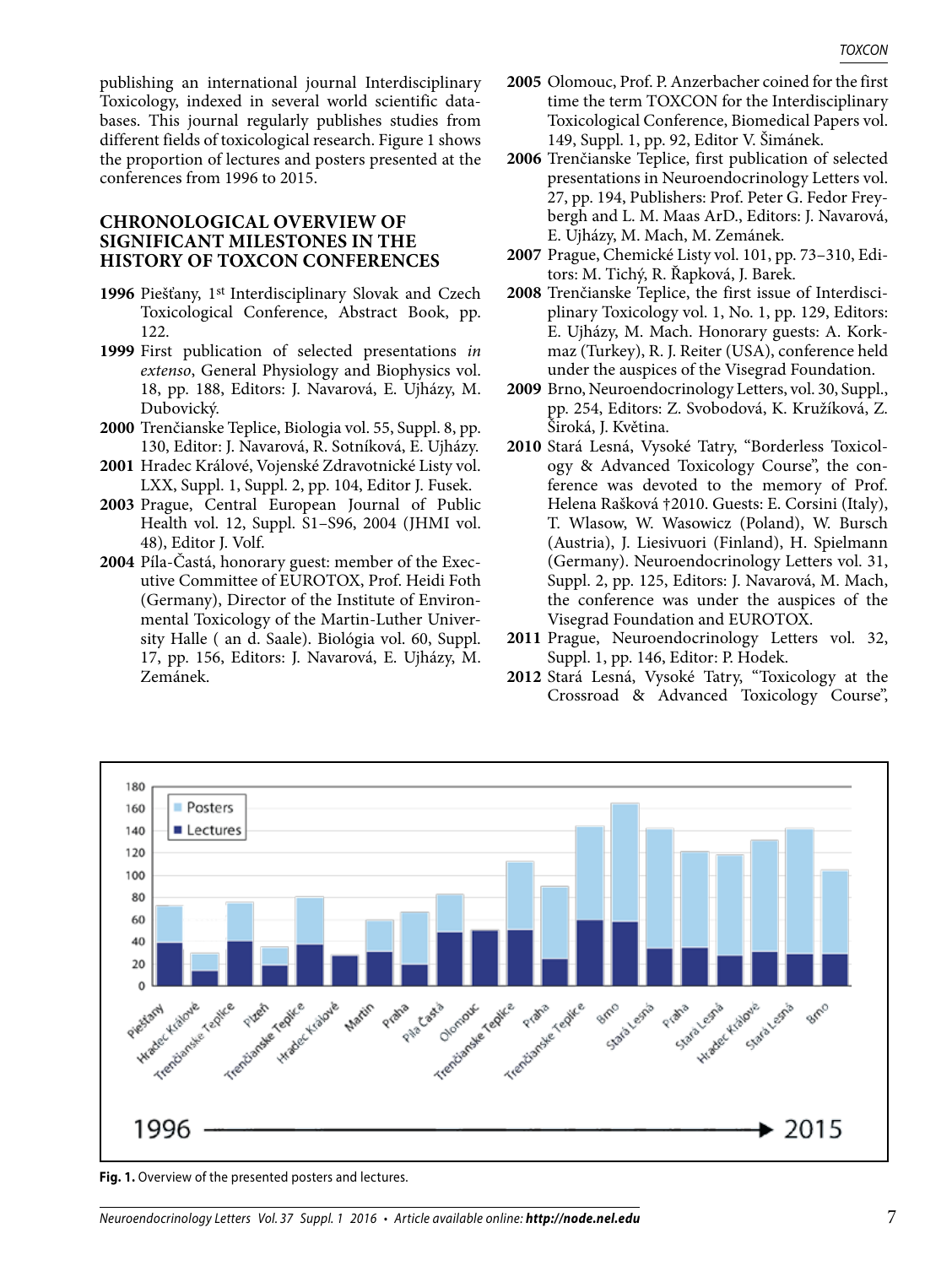publishing an international journal Interdisciplinary Toxicology, indexed in several world scientific databases. This journal regularly publishes studies from different fields of toxicological research. Figure 1 shows the proportion of lectures and posters presented at the conferences from 1996 to 2015.

#### **Chronological overview of significant milestones in the history of TOXCON conferences**

- **1996** Piešťany, 1st Interdisciplinary Slovak and Czech Toxicological Conference, Abstract Book, pp. 122.
- **1999** First publication of selected presentations *in extenso*, General Physiology and Biophysics vol. 18, pp. 188, Editors: J. Navarová, E. Ujházy, M. Dubovický.
- **2000** Trenčianske Teplice, Biologia vol. 55, Suppl. 8, pp. 130, Editor: J. Navarová, R. Sotníková, E. Ujházy.
- **2001** Hradec Králové, Vojenské Zdravotnické Listy vol. LXX, Suppl. 1, Suppl. 2, pp. 104, Editor J. Fusek.
- **2003** Prague, Central European Journal of Public Health vol. 12, Suppl. S1–S96, 2004 (JHMI vol. 48), Editor J. Volf.
- **2004** Píla-Častá, honorary guest: member of the Executive Committee of EUROTOX, Prof. Heidi Foth (Germany), Director of the Institute of Environmental Toxicology of the Martin-Luther University Halle ( an d. Saale). Biológia vol. 60, Suppl. 17, pp. 156, Editors: J. Navarová, E. Ujházy, M. Zemánek.
- **2005** Olomouc, Prof. P. Anzerbacher coined for the first time the term TOXCON for the Interdisciplinary Toxicological Conference, Biomedical Papers vol. 149, Suppl. 1, pp. 92, Editor V. Šimánek.
- **2006** Trenčianske Teplice, first publication of selected presentations in Neuroendocrinology Letters vol. 27, pp. 194, Publishers: Prof. Peter G. Fedor Freybergh and L. M. Maas ArD., Editors: J. Navarová, E. Ujházy, M. Mach, M. Zemánek.
- **2007** Prague, Chemické Listy vol. 101, pp. 73–310, Editors: M. Tichý, R. Řapková, J. Barek.
- **2008** Trenčianske Teplice, the first issue of Interdisciplinary Toxicology vol. 1, No. 1, pp. 129, Editors: E. Ujházy, M. Mach. Honorary guests: A. Korkmaz (Turkey), R. J. Reiter (USA), conference held under the auspices of the Visegrad Foundation.
- **2009** Brno, Neuroendocrinology Letters, vol. 30, Suppl., pp. 254, Editors: Z. Svobodová, K. Kružíková, Z. Široká, J. Květina.
- **2010** Stará Lesná, Vysoké Tatry, "Borderless Toxicology & Advanced Toxicology Course", the conference was devoted to the memory of Prof. Helena Rašková †2010. Guests: E. Corsini (Italy), T. Wlasow, W. Wasowicz (Poland), W. Bursch (Austria), J. Liesivuori (Finland), H. Spielmann (Germany). Neuroendocrinology Letters vol. 31, Suppl. 2, pp. 125, Editors: J. Navarová, M. Mach, the conference was under the auspices of the Visegrad Foundation and EUROTOX.
- **2011** Prague, Neuroendocrinology Letters vol. 32, Suppl. 1, pp. 146, Editor: P. Hodek.
- **2012** Stará Lesná, Vysoké Tatry, "Toxicology at the Crossroad & Advanced Toxicology Course",



**Fig. 1.** Overview of the presented posters and lectures.